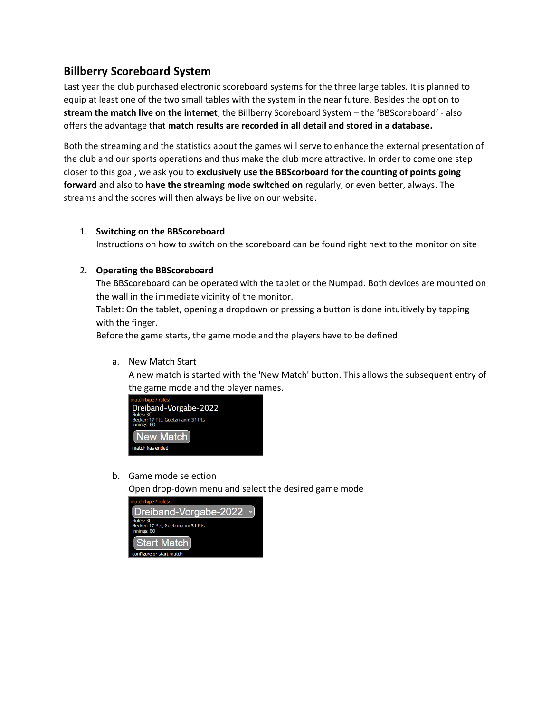# **Billberry Scoreboard System**

Last year the club purchased electronic scoreboard systems for the three large tables. It is planned to equip at least one of the two small tables with the system in the near future. Besides the option to **stream the match live on the internet**, the Billberry Scoreboard System – the 'BBScoreboard' - also offers the advantage that **match results are recorded in all detail and stored in a database.**

Both the streaming and the statistics about the games will serve to enhance the external presentation of the club and our sports operations and thus make the club more attractive. In order to come one step closer to this goal, we ask you to **exclusively use the BBScorboard for the counting of points going forward** and also to **have the streaming mode switched on** regularly, or even better, always. The streams and the scores will then always be live on our website.

## 1. **Switching on the BBScoreboard**

Instructions on how to switch on the scoreboard can be found right next to the monitor on site

## 2. **Operating the BBScoreboard**

The BBScoreboard can be operated with the tablet or the Numpad. Both devices are mounted on the wall in the immediate vicinity of the monitor.

Tablet: On the tablet, opening a dropdown or pressing a button is done intuitively by tapping with the finger.

Before the game starts, the game mode and the players have to be defined

a. New Match Start

A new match is started with the 'New Match' button. This allows the subsequent entry of the game mode and the player names.



b. Game mode selection

Open drop-down menu and select the desired game mode

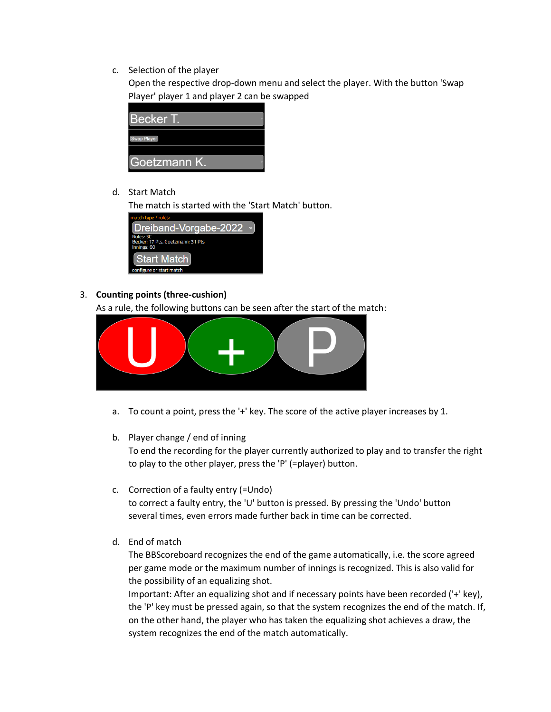c. Selection of the player

Open the respective drop-down menu and select the player. With the button 'Swap Player' player 1 and player 2 can be swapped

| <b>Becker T.</b> |  |
|------------------|--|
| Swap Player      |  |
| Goetzmann K.     |  |

d. Start Match

The match is started with the 'Start Match' button.



# 3. **Counting points (three-cushion)**

As a rule, the following buttons can be seen after the start of the match:



a. To count a point, press the '+' key. The score of the active player increases by 1.

#### b. Player change / end of inning

To end the recording for the player currently authorized to play and to transfer the right to play to the other player, press the 'P' (=player) button.

- c. Correction of a faulty entry (=Undo) to correct a faulty entry, the 'U' button is pressed. By pressing the 'Undo' button several times, even errors made further back in time can be corrected.
- d. End of match

The BBScoreboard recognizes the end of the game automatically, i.e. the score agreed per game mode or the maximum number of innings is recognized. This is also valid for the possibility of an equalizing shot.

Important: After an equalizing shot and if necessary points have been recorded ('+' key), the 'P' key must be pressed again, so that the system recognizes the end of the match. If, on the other hand, the player who has taken the equalizing shot achieves a draw, the system recognizes the end of the match automatically.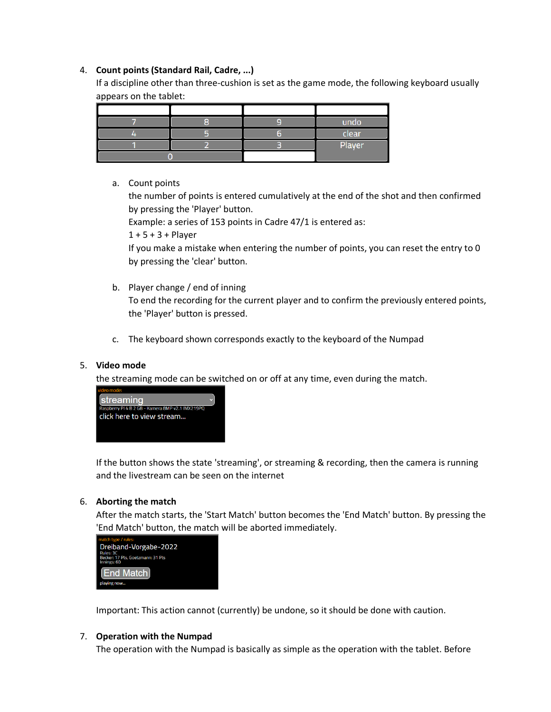## 4. **Count points (Standard Rail, Cadre, ...)**

If a discipline other than three-cushion is set as the game mode, the following keyboard usually appears on the tablet:

|  | undo   |
|--|--------|
|  | clear  |
|  | Player |
|  |        |

a. Count points

the number of points is entered cumulatively at the end of the shot and then confirmed by pressing the 'Player' button.

Example: a series of 153 points in Cadre 47/1 is entered as:

 $1 + 5 + 3 +$  Player

If you make a mistake when entering the number of points, you can reset the entry to 0 by pressing the 'clear' button.

- b. Player change / end of inning To end the recording for the current player and to confirm the previously entered points, the 'Player' button is pressed.
- c. The keyboard shown corresponds exactly to the keyboard of the Numpad

# 5. **Video mode**

the streaming mode can be switched on or off at any time, even during the match.



If the button shows the state 'streaming', or streaming & recording, then the camera is running and the livestream can be seen on the internet

# 6. **Aborting the match**

After the match starts, the 'Start Match' button becomes the 'End Match' button. By pressing the 'End Match' button, the match will be aborted immediately.



Important: This action cannot (currently) be undone, so it should be done with caution.

#### 7. **Operation with the Numpad**

The operation with the Numpad is basically as simple as the operation with the tablet. Before